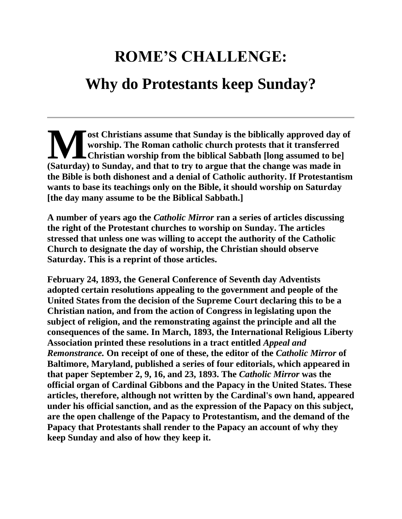# **ROME'S CHALLENGE:**

## **Why do Protestants keep Sunday?**

**ost Christians assume that Sunday is the biblically approved day of worship. The Roman catholic church protests that it transferred Christian worship from the biblical Sabbath [long assumed to be] (Saturday)** to Sunday, and that to try to argue that the change was made in (Saturday) to Sunday, and that to try to argue that the change was made in **the Bible is both dishonest and a denial of Catholic authority. If Protestantism wants to base its teachings only on the Bible, it should worship on Saturday [the day many assume to be the Biblical Sabbath.]**

**A number of years ago the** *Catholic Mirror* **ran a series of articles discussing the right of the Protestant churches to worship on Sunday. The articles stressed that unless one was willing to accept the authority of the Catholic Church to designate the day of worship, the Christian should observe Saturday. This is a reprint of those articles.** 

**February 24, 1893, the General Conference of Seventh day Adventists adopted certain resolutions appealing to the government and people of the United States from the decision of the Supreme Court declaring this to be a Christian nation, and from the action of Congress in legislating upon the subject of religion, and the remonstrating against the principle and all the consequences of the same. In March, 1893, the International Religious Liberty Association printed these resolutions in a tract entitled** *Appeal and Remonstrance.* **On receipt of one of these, the editor of the** *Catholic Mirror* **of Baltimore, Maryland, published a series of four editorials, which appeared in that paper September 2, 9, 16, and 23, 1893. The** *Catholic Mirror* **was the official organ of Cardinal Gibbons and the Papacy in the United States. These articles, therefore, although not written by the Cardinal's own hand, appeared under his official sanction, and as the expression of the Papacy on this subject, are the open challenge of the Papacy to Protestantism, and the demand of the Papacy that Protestants shall render to the Papacy an account of why they keep Sunday and also of how they keep it.**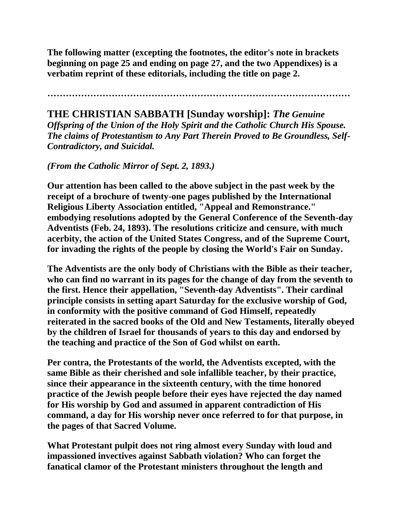**The following matter (excepting the footnotes, the editor's note in brackets beginning on page 25 and ending on page 27, and the two Appendixes) is a verbatim reprint of these editorials, including the title on page 2.** 

**………………………………………………………………………………………**

**THE CHRISTIAN SABBATH [Sunday worship]:** *The Genuine Offspring of the Union of the Holy Spirit and the Catholic Church His Spouse. The claims of Protestantism to Any Part Therein Proved to Be Groundless, Self-Contradictory, and Suicidal.* 

*(From the Catholic Mirror of Sept. 2, 1893.)*

**Our attention has been called to the above subject in the past week by the receipt of a brochure of twenty-one pages published by the International Religious Liberty Association entitled, "Appeal and Remonstrance." embodying resolutions adopted by the General Conference of the Seventh-day Adventists (Feb. 24, 1893). The resolutions criticize and censure, with much acerbity, the action of the United States Congress, and of the Supreme Court, for invading the rights of the people by closing the World's Fair on Sunday.** 

**The Adventists are the only body of Christians with the Bible as their teacher, who can find no warrant in its pages for the change of day from the seventh to the first. Hence their appellation, "Seventh-day Adventists". Their cardinal principle consists in setting apart Saturday for the exclusive worship of God, in conformity with the positive command of God Himself, repeatedly reiterated in the sacred books of the Old and New Testaments, literally obeyed by the children of Israel for thousands of years to this day and endorsed by the teaching and practice of the Son of God whilst on earth.** 

**Per contra, the Protestants of the world, the Adventists excepted, with the same Bible as their cherished and sole infallible teacher, by their practice, since their appearance in the sixteenth century, with the time honored practice of the Jewish people before their eyes have rejected the day named for His worship by God and assumed in apparent contradiction of His command, a day for His worship never once referred to for that purpose, in the pages of that Sacred Volume.** 

**What Protestant pulpit does not ring almost every Sunday with loud and impassioned invectives against Sabbath violation? Who can forget the fanatical clamor of the Protestant ministers throughout the length and**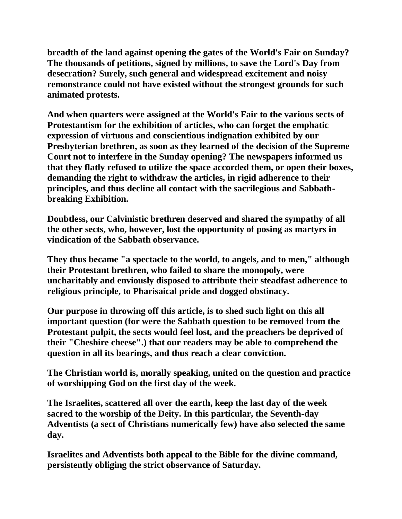**breadth of the land against opening the gates of the World's Fair on Sunday? The thousands of petitions, signed by millions, to save the Lord's Day from desecration? Surely, such general and widespread excitement and noisy remonstrance could not have existed without the strongest grounds for such animated protests.** 

**And when quarters were assigned at the World's Fair to the various sects of Protestantism for the exhibition of articles, who can forget the emphatic expression of virtuous and conscientious indignation exhibited by our Presbyterian brethren, as soon as they learned of the decision of the Supreme Court not to interfere in the Sunday opening? The newspapers informed us that they flatly refused to utilize the space accorded them, or open their boxes, demanding the right to withdraw the articles, in rigid adherence to their principles, and thus decline all contact with the sacrilegious and Sabbathbreaking Exhibition.** 

**Doubtless, our Calvinistic brethren deserved and shared the sympathy of all the other sects, who, however, lost the opportunity of posing as martyrs in vindication of the Sabbath observance.** 

**They thus became "a spectacle to the world, to angels, and to men," although their Protestant brethren, who failed to share the monopoly, were uncharitably and enviously disposed to attribute their steadfast adherence to religious principle, to Pharisaical pride and dogged obstinacy.** 

**Our purpose in throwing off this article, is to shed such light on this all important question (for were the Sabbath question to be removed from the Protestant pulpit, the sects would feel lost, and the preachers be deprived of their "Cheshire cheese".) that our readers may be able to comprehend the question in all its bearings, and thus reach a clear conviction.** 

**The Christian world is, morally speaking, united on the question and practice of worshipping God on the first day of the week.** 

**The Israelites, scattered all over the earth, keep the last day of the week sacred to the worship of the Deity. In this particular, the Seventh-day Adventists (a sect of Christians numerically few) have also selected the same day.** 

**Israelites and Adventists both appeal to the Bible for the divine command, persistently obliging the strict observance of Saturday.**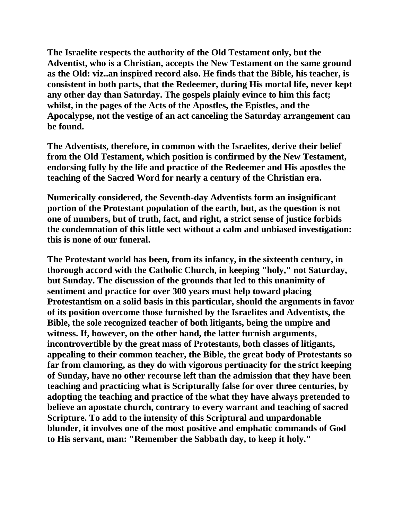**The Israelite respects the authority of the Old Testament only, but the Adventist, who is a Christian, accepts the New Testament on the same ground as the Old: viz..an inspired record also. He finds that the Bible, his teacher, is consistent in both parts, that the Redeemer, during His mortal life, never kept any other day than Saturday. The gospels plainly evince to him this fact; whilst, in the pages of the Acts of the Apostles, the Epistles, and the Apocalypse, not the vestige of an act canceling the Saturday arrangement can be found.** 

**The Adventists, therefore, in common with the Israelites, derive their belief from the Old Testament, which position is confirmed by the New Testament, endorsing fully by the life and practice of the Redeemer and His apostles the teaching of the Sacred Word for nearly a century of the Christian era.** 

**Numerically considered, the Seventh-day Adventists form an insignificant portion of the Protestant population of the earth, but, as the question is not one of numbers, but of truth, fact, and right, a strict sense of justice forbids the condemnation of this little sect without a calm and unbiased investigation: this is none of our funeral.** 

**The Protestant world has been, from its infancy, in the sixteenth century, in thorough accord with the Catholic Church, in keeping "holy," not Saturday, but Sunday. The discussion of the grounds that led to this unanimity of sentiment and practice for over 300 years must help toward placing Protestantism on a solid basis in this particular, should the arguments in favor of its position overcome those furnished by the Israelites and Adventists, the Bible, the sole recognized teacher of both litigants, being the umpire and witness. If, however, on the other hand, the latter furnish arguments, incontrovertible by the great mass of Protestants, both classes of litigants, appealing to their common teacher, the Bible, the great body of Protestants so far from clamoring, as they do with vigorous pertinacity for the strict keeping of Sunday, have no other recourse left than the admission that they have been teaching and practicing what is Scripturally false for over three centuries, by adopting the teaching and practice of the what they have always pretended to believe an apostate church, contrary to every warrant and teaching of sacred Scripture. To add to the intensity of this Scriptural and unpardonable blunder, it involves one of the most positive and emphatic commands of God to His servant, man: "Remember the Sabbath day, to keep it holy."**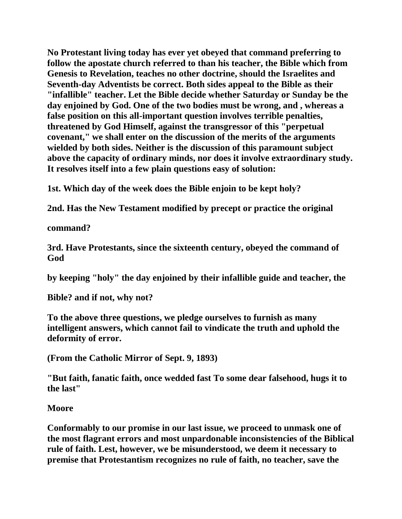**No Protestant living today has ever yet obeyed that command preferring to follow the apostate church referred to than his teacher, the Bible which from Genesis to Revelation, teaches no other doctrine, should the Israelites and Seventh-day Adventists be correct. Both sides appeal to the Bible as their "infallible" teacher. Let the Bible decide whether Saturday or Sunday be the day enjoined by God. One of the two bodies must be wrong, and , whereas a false position on this all-important question involves terrible penalties, threatened by God Himself, against the transgressor of this "perpetual covenant," we shall enter on the discussion of the merits of the arguments wielded by both sides. Neither is the discussion of this paramount subject above the capacity of ordinary minds, nor does it involve extraordinary study. It resolves itself into a few plain questions easy of solution:** 

**1st. Which day of the week does the Bible enjoin to be kept holy?** 

**2nd. Has the New Testament modified by precept or practice the original** 

**command?** 

**3rd. Have Protestants, since the sixteenth century, obeyed the command of God** 

**by keeping "holy" the day enjoined by their infallible guide and teacher, the** 

**Bible? and if not, why not?** 

**To the above three questions, we pledge ourselves to furnish as many intelligent answers, which cannot fail to vindicate the truth and uphold the deformity of error.** 

**(From the Catholic Mirror of Sept. 9, 1893)** 

**"But faith, fanatic faith, once wedded fast To some dear falsehood, hugs it to the last"** 

**Moore** 

**Conformably to our promise in our last issue, we proceed to unmask one of the most flagrant errors and most unpardonable inconsistencies of the Biblical rule of faith. Lest, however, we be misunderstood, we deem it necessary to premise that Protestantism recognizes no rule of faith, no teacher, save the**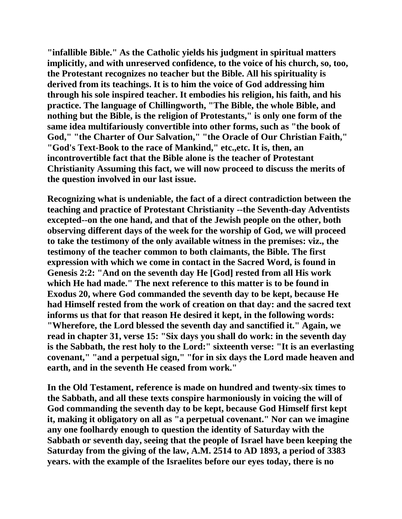**"infallible Bible." As the Catholic yields his judgment in spiritual matters implicitly, and with unreserved confidence, to the voice of his church, so, too, the Protestant recognizes no teacher but the Bible. All his spirituality is derived from its teachings. It is to him the voice of God addressing him through his sole inspired teacher. It embodies his religion, his faith, and his practice. The language of Chillingworth, "The Bible, the whole Bible, and nothing but the Bible, is the religion of Protestants," is only one form of the same idea multifariously convertible into other forms, such as "the book of God," "the Charter of Our Salvation," "the Oracle of Our Christian Faith," "God's Text-Book to the race of Mankind," etc.,etc. It is, then, an incontrovertible fact that the Bible alone is the teacher of Protestant Christianity Assuming this fact, we will now proceed to discuss the merits of the question involved in our last issue.** 

**Recognizing what is undeniable, the fact of a direct contradiction between the teaching and practice of Protestant Christianity --the Seventh-day Adventists excepted--on the one hand, and that of the Jewish people on the other, both observing different days of the week for the worship of God, we will proceed to take the testimony of the only available witness in the premises: viz., the testimony of the teacher common to both claimants, the Bible. The first expression with which we come in contact in the Sacred Word, is found in Genesis 2:2: "And on the seventh day He [God] rested from all His work which He had made." The next reference to this matter is to be found in Exodus 20, where God commanded the seventh day to be kept, because He had Himself rested from the work of creation on that day: and the sacred text informs us that for that reason He desired it kept, in the following words: "Wherefore, the Lord blessed the seventh day and sanctified it." Again, we read in chapter 31, verse 15: "Six days you shall do work: in the seventh day is the Sabbath, the rest holy to the Lord:" sixteenth verse: "It is an everlasting covenant," "and a perpetual sign," "for in six days the Lord made heaven and earth, and in the seventh He ceased from work."** 

**In the Old Testament, reference is made on hundred and twenty-six times to the Sabbath, and all these texts conspire harmoniously in voicing the will of God commanding the seventh day to be kept, because God Himself first kept it, making it obligatory on all as "a perpetual covenant." Nor can we imagine any one foolhardy enough to question the identity of Saturday with the Sabbath or seventh day, seeing that the people of Israel have been keeping the Saturday from the giving of the law, A.M. 2514 to AD 1893, a period of 3383 years. with the example of the Israelites before our eyes today, there is no**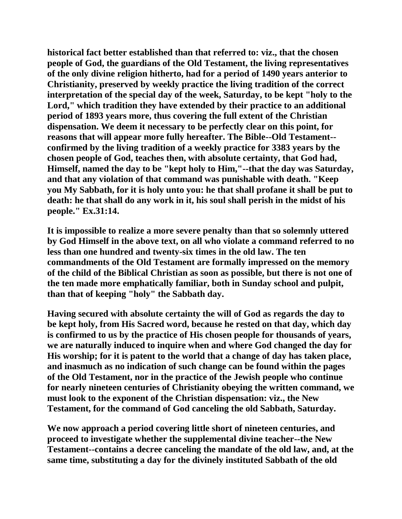**historical fact better established than that referred to: viz., that the chosen people of God, the guardians of the Old Testament, the living representatives of the only divine religion hitherto, had for a period of 1490 years anterior to Christianity, preserved by weekly practice the living tradition of the correct interpretation of the special day of the week, Saturday, to be kept "holy to the Lord," which tradition they have extended by their practice to an additional period of 1893 years more, thus covering the full extent of the Christian dispensation. We deem it necessary to be perfectly clear on this point, for reasons that will appear more fully hereafter. The Bible--Old Testament- confirmed by the living tradition of a weekly practice for 3383 years by the chosen people of God, teaches then, with absolute certainty, that God had, Himself, named the day to be "kept holy to Him,"--that the day was Saturday, and that any violation of that command was punishable with death. "Keep you My Sabbath, for it is holy unto you: he that shall profane it shall be put to death: he that shall do any work in it, his soul shall perish in the midst of his people." Ex.31:14.** 

**It is impossible to realize a more severe penalty than that so solemnly uttered by God Himself in the above text, on all who violate a command referred to no less than one hundred and twenty-six times in the old law. The ten commandments of the Old Testament are formally impressed on the memory of the child of the Biblical Christian as soon as possible, but there is not one of the ten made more emphatically familiar, both in Sunday school and pulpit, than that of keeping "holy" the Sabbath day.** 

**Having secured with absolute certainty the will of God as regards the day to be kept holy, from His Sacred word, because he rested on that day, which day is confirmed to us by the practice of His chosen people for thousands of years, we are naturally induced to inquire when and where God changed the day for His worship; for it is patent to the world that a change of day has taken place, and inasmuch as no indication of such change can be found within the pages of the Old Testament, nor in the practice of the Jewish people who continue for nearly nineteen centuries of Christianity obeying the written command, we must look to the exponent of the Christian dispensation: viz., the New Testament, for the command of God canceling the old Sabbath, Saturday.** 

**We now approach a period covering little short of nineteen centuries, and proceed to investigate whether the supplemental divine teacher--the New Testament--contains a decree canceling the mandate of the old law, and, at the same time, substituting a day for the divinely instituted Sabbath of the old**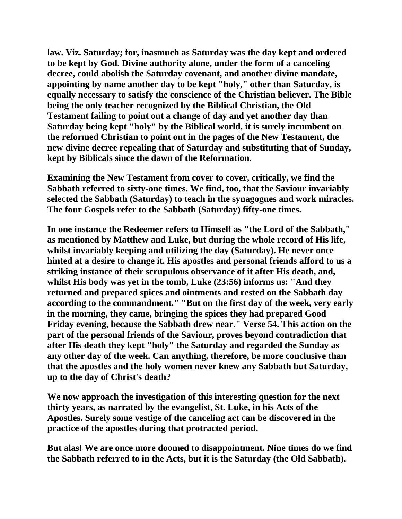**law. Viz. Saturday; for, inasmuch as Saturday was the day kept and ordered to be kept by God. Divine authority alone, under the form of a canceling decree, could abolish the Saturday covenant, and another divine mandate, appointing by name another day to be kept "holy," other than Saturday, is equally necessary to satisfy the conscience of the Christian believer. The Bible being the only teacher recognized by the Biblical Christian, the Old Testament failing to point out a change of day and yet another day than Saturday being kept "holy" by the Biblical world, it is surely incumbent on the reformed Christian to point out in the pages of the New Testament, the new divine decree repealing that of Saturday and substituting that of Sunday, kept by Biblicals since the dawn of the Reformation.** 

**Examining the New Testament from cover to cover, critically, we find the Sabbath referred to sixty-one times. We find, too, that the Saviour invariably selected the Sabbath (Saturday) to teach in the synagogues and work miracles. The four Gospels refer to the Sabbath (Saturday) fifty-one times.** 

**In one instance the Redeemer refers to Himself as "the Lord of the Sabbath," as mentioned by Matthew and Luke, but during the whole record of His life, whilst invariably keeping and utilizing the day (Saturday). He never once hinted at a desire to change it. His apostles and personal friends afford to us a striking instance of their scrupulous observance of it after His death, and, whilst His body was yet in the tomb, Luke (23:56) informs us: "And they returned and prepared spices and ointments and rested on the Sabbath day according to the commandment." "But on the first day of the week, very early in the morning, they came, bringing the spices they had prepared Good Friday evening, because the Sabbath drew near." Verse 54. This action on the part of the personal friends of the Saviour, proves beyond contradiction that after His death they kept "holy" the Saturday and regarded the Sunday as any other day of the week. Can anything, therefore, be more conclusive than that the apostles and the holy women never knew any Sabbath but Saturday, up to the day of Christ's death?** 

**We now approach the investigation of this interesting question for the next thirty years, as narrated by the evangelist, St. Luke, in his Acts of the Apostles. Surely some vestige of the canceling act can be discovered in the practice of the apostles during that protracted period.** 

**But alas! We are once more doomed to disappointment. Nine times do we find the Sabbath referred to in the Acts, but it is the Saturday (the Old Sabbath).**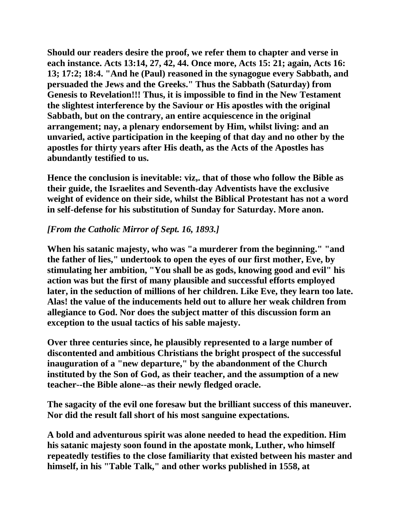**Should our readers desire the proof, we refer them to chapter and verse in each instance. Acts 13:14, 27, 42, 44. Once more, Acts 15: 21; again, Acts 16: 13; 17:2; 18:4. "And he (Paul) reasoned in the synagogue every Sabbath, and persuaded the Jews and the Greeks." Thus the Sabbath (Saturday) from Genesis to Revelation!!! Thus, it is impossible to find in the New Testament the slightest interference by the Saviour or His apostles with the original Sabbath, but on the contrary, an entire acquiescence in the original arrangement; nay, a plenary endorsement by Him, whilst living: and an unvaried, active participation in the keeping of that day and no other by the apostles for thirty years after His death, as the Acts of the Apostles has abundantly testified to us.** 

**Hence the conclusion is inevitable: viz,. that of those who follow the Bible as their guide, the Israelites and Seventh-day Adventists have the exclusive weight of evidence on their side, whilst the Biblical Protestant has not a word in self-defense for his substitution of Sunday for Saturday. More anon.** 

#### *[From the Catholic Mirror of Sept. 16, 1893.]*

**When his satanic majesty, who was "a murderer from the beginning." "and the father of lies," undertook to open the eyes of our first mother, Eve, by stimulating her ambition, "You shall be as gods, knowing good and evil" his action was but the first of many plausible and successful efforts employed later, in the seduction of millions of her children. Like Eve, they learn too late. Alas! the value of the inducements held out to allure her weak children from allegiance to God. Nor does the subject matter of this discussion form an exception to the usual tactics of his sable majesty.** 

**Over three centuries since, he plausibly represented to a large number of discontented and ambitious Christians the bright prospect of the successful inauguration of a "new departure," by the abandonment of the Church instituted by the Son of God, as their teacher, and the assumption of a new teacher--the Bible alone--as their newly fledged oracle.** 

**The sagacity of the evil one foresaw but the brilliant success of this maneuver. Nor did the result fall short of his most sanguine expectations.** 

**A bold and adventurous spirit was alone needed to head the expedition. Him his satanic majesty soon found in the apostate monk, Luther, who himself repeatedly testifies to the close familiarity that existed between his master and himself, in his "Table Talk," and other works published in 1558, at**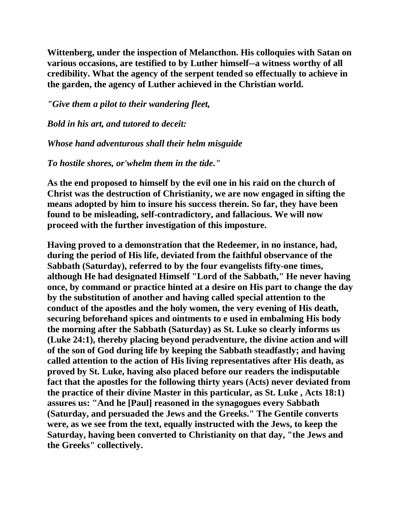**Wittenberg, under the inspection of Melancthon. His colloquies with Satan on various occasions, are testified to by Luther himself--a witness worthy of all credibility. What the agency of the serpent tended so effectually to achieve in the garden, the agency of Luther achieved in the Christian world.** 

*"Give them a pilot to their wandering fleet,*

*Bold in his art, and tutored to deceit:*

*Whose hand adventurous shall their helm misguide*

*To hostile shores, or'whelm them in the tide."*

**As the end proposed to himself by the evil one in his raid on the church of Christ was the destruction of Christianity, we are now engaged in sifting the means adopted by him to insure his success therein. So far, they have been found to be misleading, self-contradictory, and fallacious. We will now proceed with the further investigation of this imposture.** 

**Having proved to a demonstration that the Redeemer, in no instance, had, during the period of His life, deviated from the faithful observance of the Sabbath (Saturday), referred to by the four evangelists fifty-one times, although He had designated Himself "Lord of the Sabbath," He never having once, by command or practice hinted at a desire on His part to change the day by the substitution of another and having called special attention to the conduct of the apostles and the holy women, the very evening of His death, securing beforehand spices and ointments to e used in embalming His body the morning after the Sabbath (Saturday) as St. Luke so clearly informs us (Luke 24:1), thereby placing beyond peradventure, the divine action and will of the son of God during life by keeping the Sabbath steadfastly; and having called attention to the action of His living representatives after His death, as proved by St. Luke, having also placed before our readers the indisputable fact that the apostles for the following thirty years (Acts) never deviated from the practice of their divine Master in this particular, as St. Luke , Acts 18:1) assures us: "And he [Paul] reasoned in the synagogues every Sabbath (Saturday, and persuaded the Jews and the Greeks." The Gentile converts were, as we see from the text, equally instructed with the Jews, to keep the Saturday, having been converted to Christianity on that day, "the Jews and the Greeks" collectively.**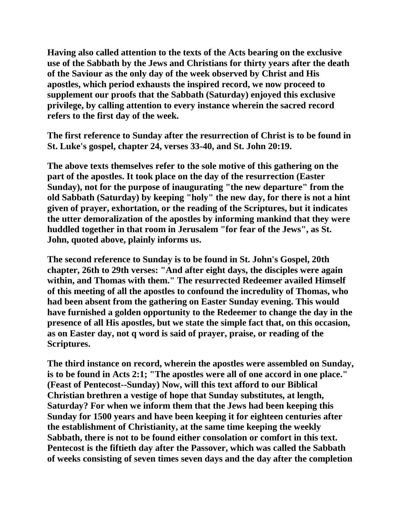**Having also called attention to the texts of the Acts bearing on the exclusive use of the Sabbath by the Jews and Christians for thirty years after the death of the Saviour as the only day of the week observed by Christ and His apostles, which period exhausts the inspired record, we now proceed to supplement our proofs that the Sabbath (Saturday) enjoyed this exclusive privilege, by calling attention to every instance wherein the sacred record refers to the first day of the week.** 

**The first reference to Sunday after the resurrection of Christ is to be found in St. Luke's gospel, chapter 24, verses 33-40, and St. John 20:19.** 

**The above texts themselves refer to the sole motive of this gathering on the part of the apostles. It took place on the day of the resurrection (Easter Sunday), not for the purpose of inaugurating "the new departure" from the old Sabbath (Saturday) by keeping "holy" the new day, for there is not a hint given of prayer, exhortation, or the reading of the Scriptures, but it indicates the utter demoralization of the apostles by informing mankind that they were huddled together in that room in Jerusalem "for fear of the Jews", as St. John, quoted above, plainly informs us.** 

**The second reference to Sunday is to be found in St. John's Gospel, 20th chapter, 26th to 29th verses: "And after eight days, the disciples were again within, and Thomas with them." The resurrected Redeemer availed Himself of this meeting of all the apostles to confound the incredulity of Thomas, who had been absent from the gathering on Easter Sunday evening. This would have furnished a golden opportunity to the Redeemer to change the day in the presence of all His apostles, but we state the simple fact that, on this occasion, as on Easter day, not q word is said of prayer, praise, or reading of the Scriptures.** 

**The third instance on record, wherein the apostles were assembled on Sunday, is to be found in Acts 2:1; "The apostles were all of one accord in one place." (Feast of Pentecost--Sunday) Now, will this text afford to our Biblical Christian brethren a vestige of hope that Sunday substitutes, at length, Saturday? For when we inform them that the Jews had been keeping this Sunday for 1500 years and have been keeping it for eighteen centuries after the establishment of Christianity, at the same time keeping the weekly Sabbath, there is not to be found either consolation or comfort in this text. Pentecost is the fiftieth day after the Passover, which was called the Sabbath of weeks consisting of seven times seven days and the day after the completion**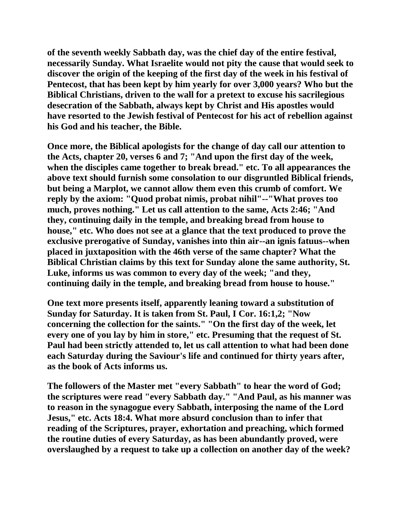**of the seventh weekly Sabbath day, was the chief day of the entire festival, necessarily Sunday. What Israelite would not pity the cause that would seek to discover the origin of the keeping of the first day of the week in his festival of Pentecost, that has been kept by him yearly for over 3,000 years? Who but the Biblical Christians, driven to the wall for a pretext to excuse his sacrilegious desecration of the Sabbath, always kept by Christ and His apostles would have resorted to the Jewish festival of Pentecost for his act of rebellion against his God and his teacher, the Bible.** 

**Once more, the Biblical apologists for the change of day call our attention to the Acts, chapter 20, verses 6 and 7; "And upon the first day of the week, when the disciples came together to break bread." etc. To all appearances the above text should furnish some consolation to our disgruntled Biblical friends, but being a Marplot, we cannot allow them even this crumb of comfort. We reply by the axiom: "Quod probat nimis, probat nihil"--"What proves too much, proves nothing." Let us call attention to the same, Acts 2:46; "And they, continuing daily in the temple, and breaking bread from house to house," etc. Who does not see at a glance that the text produced to prove the exclusive prerogative of Sunday, vanishes into thin air--an ignis fatuus--when placed in juxtaposition with the 46th verse of the same chapter? What the Biblical Christian claims by this text for Sunday alone the same authority, St. Luke, informs us was common to every day of the week; "and they, continuing daily in the temple, and breaking bread from house to house."** 

**One text more presents itself, apparently leaning toward a substitution of Sunday for Saturday. It is taken from St. Paul, I Cor. 16:1,2; "Now concerning the collection for the saints." "On the first day of the week, let every one of you lay by him in store," etc. Presuming that the request of St. Paul had been strictly attended to, let us call attention to what had been done each Saturday during the Saviour's life and continued for thirty years after, as the book of Acts informs us.** 

**The followers of the Master met "every Sabbath" to hear the word of God; the scriptures were read "every Sabbath day." "And Paul, as his manner was to reason in the synagogue every Sabbath, interposing the name of the Lord Jesus," etc. Acts 18:4. What more absurd conclusion than to infer that reading of the Scriptures, prayer, exhortation and preaching, which formed the routine duties of every Saturday, as has been abundantly proved, were overslaughed by a request to take up a collection on another day of the week?**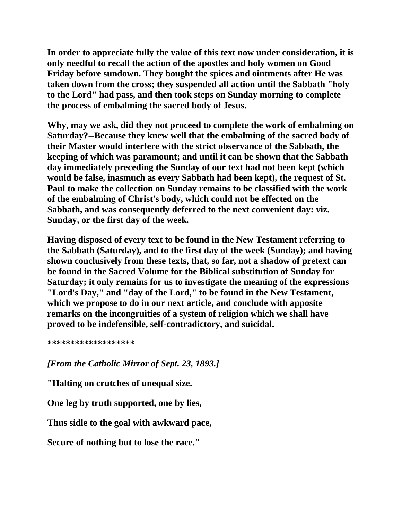**In order to appreciate fully the value of this text now under consideration, it is only needful to recall the action of the apostles and holy women on Good Friday before sundown. They bought the spices and ointments after He was taken down from the cross; they suspended all action until the Sabbath "holy to the Lord" had pass, and then took steps on Sunday morning to complete the process of embalming the sacred body of Jesus.** 

**Why, may we ask, did they not proceed to complete the work of embalming on Saturday?--Because they knew well that the embalming of the sacred body of their Master would interfere with the strict observance of the Sabbath, the keeping of which was paramount; and until it can be shown that the Sabbath day immediately preceding the Sunday of our text had not been kept (which would be false, inasmuch as every Sabbath had been kept), the request of St. Paul to make the collection on Sunday remains to be classified with the work of the embalming of Christ's body, which could not be effected on the Sabbath, and was consequently deferred to the next convenient day: viz. Sunday, or the first day of the week.** 

**Having disposed of every text to be found in the New Testament referring to the Sabbath (Saturday), and to the first day of the week (Sunday); and having shown conclusively from these texts, that, so far, not a shadow of pretext can be found in the Sacred Volume for the Biblical substitution of Sunday for Saturday; it only remains for us to investigate the meaning of the expressions "Lord's Day," and "day of the Lord," to be found in the New Testament, which we propose to do in our next article, and conclude with apposite remarks on the incongruities of a system of religion which we shall have proved to be indefensible, self-contradictory, and suicidal.** 

**\*\*\*\*\*\*\*\*\*\*\*\*\*\*\*\*\*\*\*** 

*[From the Catholic Mirror of Sept. 23, 1893.]*

**"Halting on crutches of unequal size.** 

**One leg by truth supported, one by lies,** 

**Thus sidle to the goal with awkward pace,** 

**Secure of nothing but to lose the race."**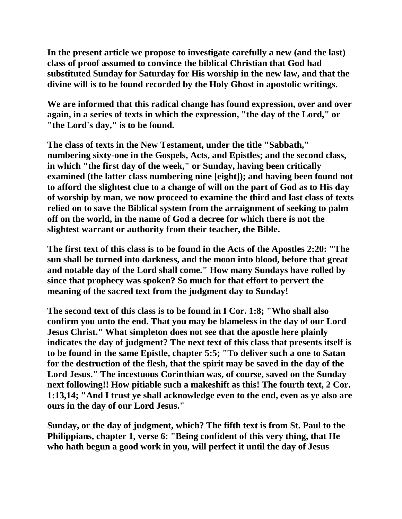**In the present article we propose to investigate carefully a new (and the last) class of proof assumed to convince the biblical Christian that God had substituted Sunday for Saturday for His worship in the new law, and that the divine will is to be found recorded by the Holy Ghost in apostolic writings.** 

**We are informed that this radical change has found expression, over and over again, in a series of texts in which the expression, "the day of the Lord," or "the Lord's day," is to be found.** 

**The class of texts in the New Testament, under the title "Sabbath," numbering sixty-one in the Gospels, Acts, and Epistles; and the second class, in which "the first day of the week," or Sunday, having been critically examined (the latter class numbering nine [eight]); and having been found not to afford the slightest clue to a change of will on the part of God as to His day of worship by man, we now proceed to examine the third and last class of texts relied on to save the Biblical system from the arraignment of seeking to palm off on the world, in the name of God a decree for which there is not the slightest warrant or authority from their teacher, the Bible.** 

**The first text of this class is to be found in the Acts of the Apostles 2:20: "The sun shall be turned into darkness, and the moon into blood, before that great and notable day of the Lord shall come." How many Sundays have rolled by since that prophecy was spoken? So much for that effort to pervert the meaning of the sacred text from the judgment day to Sunday!** 

**The second text of this class is to be found in I Cor. 1:8; "Who shall also confirm you unto the end. That you may be blameless in the day of our Lord Jesus Christ." What simpleton does not see that the apostle here plainly indicates the day of judgment? The next text of this class that presents itself is to be found in the same Epistle, chapter 5:5; "To deliver such a one to Satan for the destruction of the flesh, that the spirit may be saved in the day of the Lord Jesus." The incestuous Corinthian was, of course, saved on the Sunday next following!! How pitiable such a makeshift as this! The fourth text, 2 Cor. 1:13,14; "And I trust ye shall acknowledge even to the end, even as ye also are ours in the day of our Lord Jesus."** 

**Sunday, or the day of judgment, which? The fifth text is from St. Paul to the Philippians, chapter 1, verse 6: "Being confident of this very thing, that He who hath begun a good work in you, will perfect it until the day of Jesus**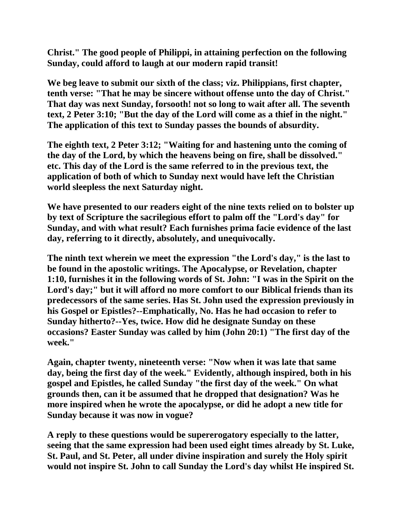**Christ." The good people of Philippi, in attaining perfection on the following Sunday, could afford to laugh at our modern rapid transit!** 

**We beg leave to submit our sixth of the class; viz. Philippians, first chapter, tenth verse: "That he may be sincere without offense unto the day of Christ." That day was next Sunday, forsooth! not so long to wait after all. The seventh text, 2 Peter 3:10; "But the day of the Lord will come as a thief in the night." The application of this text to Sunday passes the bounds of absurdity.** 

**The eighth text, 2 Peter 3:12; "Waiting for and hastening unto the coming of the day of the Lord, by which the heavens being on fire, shall be dissolved." etc. This day of the Lord is the same referred to in the previous text, the application of both of which to Sunday next would have left the Christian world sleepless the next Saturday night.** 

**We have presented to our readers eight of the nine texts relied on to bolster up by text of Scripture the sacrilegious effort to palm off the "Lord's day" for Sunday, and with what result? Each furnishes prima facie evidence of the last day, referring to it directly, absolutely, and unequivocally.** 

**The ninth text wherein we meet the expression "the Lord's day," is the last to be found in the apostolic writings. The Apocalypse, or Revelation, chapter 1:10, furnishes it in the following words of St. John: "I was in the Spirit on the Lord's day;" but it will afford no more comfort to our Biblical friends than its predecessors of the same series. Has St. John used the expression previously in his Gospel or Epistles?--Emphatically, No. Has he had occasion to refer to Sunday hitherto?--Yes, twice. How did he designate Sunday on these occasions? Easter Sunday was called by him (John 20:1) "The first day of the week."** 

**Again, chapter twenty, nineteenth verse: "Now when it was late that same day, being the first day of the week." Evidently, although inspired, both in his gospel and Epistles, he called Sunday "the first day of the week." On what grounds then, can it be assumed that he dropped that designation? Was he more inspired when he wrote the apocalypse, or did he adopt a new title for Sunday because it was now in vogue?** 

**A reply to these questions would be supererogatory especially to the latter, seeing that the same expression had been used eight times already by St. Luke, St. Paul, and St. Peter, all under divine inspiration and surely the Holy spirit would not inspire St. John to call Sunday the Lord's day whilst He inspired St.**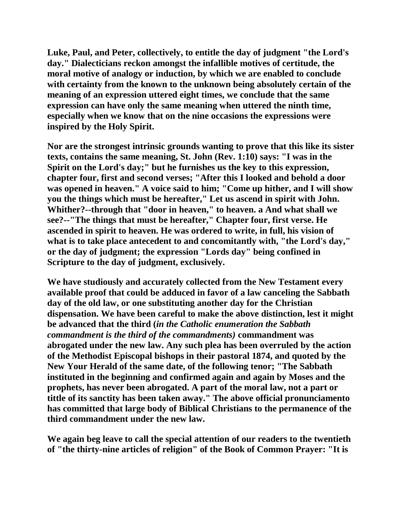**Luke, Paul, and Peter, collectively, to entitle the day of judgment "the Lord's day." Dialecticians reckon amongst the infallible motives of certitude, the moral motive of analogy or induction, by which we are enabled to conclude with certainty from the known to the unknown being absolutely certain of the meaning of an expression uttered eight times, we conclude that the same expression can have only the same meaning when uttered the ninth time, especially when we know that on the nine occasions the expressions were inspired by the Holy Spirit.** 

**Nor are the strongest intrinsic grounds wanting to prove that this like its sister texts, contains the same meaning, St. John (Rev. 1:10) says: "I was in the Spirit on the Lord's day;" but he furnishes us the key to this expression, chapter four, first and second verses; "After this I looked and behold a door was opened in heaven." A voice said to him; "Come up hither, and I will show you the things which must be hereafter," Let us ascend in spirit with John. Whither?--through that "door in heaven," to heaven. a And what shall we see?--"The things that must be hereafter," Chapter four, first verse. He ascended in spirit to heaven. He was ordered to write, in full, his vision of what is to take place antecedent to and concomitantly with, "the Lord's day," or the day of judgment; the expression "Lords day" being confined in Scripture to the day of judgment, exclusively.** 

**We have studiously and accurately collected from the New Testament every available proof that could be adduced in favor of a law canceling the Sabbath day of the old law, or one substituting another day for the Christian dispensation. We have been careful to make the above distinction, lest it might be advanced that the third (***in the Catholic enumeration the Sabbath commandment is the third of the commandments)* **commandment was abrogated under the new law. Any such plea has been overruled by the action of the Methodist Episcopal bishops in their pastoral 1874, and quoted by the New Your Herald of the same date, of the following tenor; "The Sabbath instituted in the beginning and confirmed again and again by Moses and the prophets, has never been abrogated. A part of the moral law, not a part or tittle of its sanctity has been taken away." The above official pronunciamento has committed that large body of Biblical Christians to the permanence of the third commandment under the new law.** 

**We again beg leave to call the special attention of our readers to the twentieth of "the thirty-nine articles of religion" of the Book of Common Prayer: "It is**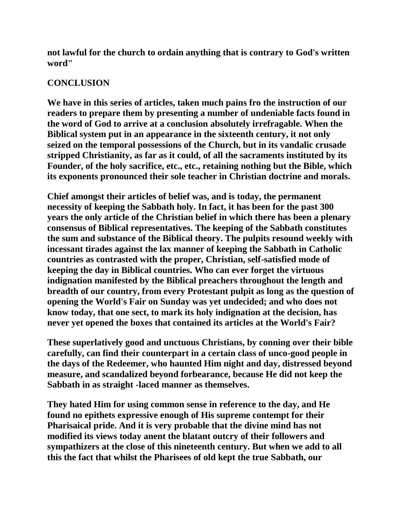**not lawful for the church to ordain anything that is contrary to God's written word"** 

#### **CONCLUSION**

**We have in this series of articles, taken much pains fro the instruction of our readers to prepare them by presenting a number of undeniable facts found in the word of God to arrive at a conclusion absolutely irrefragable. When the Biblical system put in an appearance in the sixteenth century, it not only seized on the temporal possessions of the Church, but in its vandalic crusade stripped Christianity, as far as it could, of all the sacraments instituted by its Founder, of the holy sacrifice, etc., etc., retaining nothing but the Bible, which its exponents pronounced their sole teacher in Christian doctrine and morals.** 

**Chief amongst their articles of belief was, and is today, the permanent necessity of keeping the Sabbath holy. In fact, it has been for the past 300 years the only article of the Christian belief in which there has been a plenary consensus of Biblical representatives. The keeping of the Sabbath constitutes the sum and substance of the Biblical theory. The pulpits resound weekly with incessant tirades against the lax manner of keeping the Sabbath in Catholic countries as contrasted with the proper, Christian, self-satisfied mode of keeping the day in Biblical countries. Who can ever forget the virtuous indignation manifested by the Biblical preachers throughout the length and breadth of our country, from every Protestant pulpit as long as the question of opening the World's Fair on Sunday was yet undecided; and who does not know today, that one sect, to mark its holy indignation at the decision, has never yet opened the boxes that contained its articles at the World's Fair?** 

**These superlatively good and unctuous Christians, by conning over their bible carefully, can find their counterpart in a certain class of unco-good people in the days of the Redeemer, who haunted Him night and day, distressed beyond measure, and scandalized beyond forbearance, because He did not keep the Sabbath in as straight -laced manner as themselves.** 

**They hated Him for using common sense in reference to the day, and He found no epithets expressive enough of His supreme contempt for their Pharisaical pride. And it is very probable that the divine mind has not modified its views today anent the blatant outcry of their followers and sympathizers at the close of this nineteenth century. But when we add to all this the fact that whilst the Pharisees of old kept the true Sabbath, our**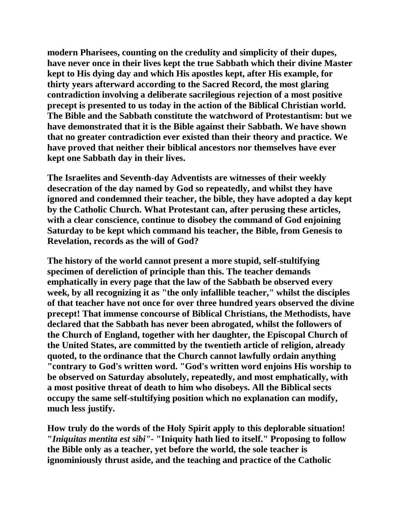**modern Pharisees, counting on the credulity and simplicity of their dupes, have never once in their lives kept the true Sabbath which their divine Master kept to His dying day and which His apostles kept, after His example, for thirty years afterward according to the Sacred Record, the most glaring contradiction involving a deliberate sacrilegious rejection of a most positive precept is presented to us today in the action of the Biblical Christian world. The Bible and the Sabbath constitute the watchword of Protestantism: but we have demonstrated that it is the Bible against their Sabbath. We have shown that no greater contradiction ever existed than their theory and practice. We have proved that neither their biblical ancestors nor themselves have ever kept one Sabbath day in their lives.** 

**The Israelites and Seventh-day Adventists are witnesses of their weekly desecration of the day named by God so repeatedly, and whilst they have ignored and condemned their teacher, the bible, they have adopted a day kept by the Catholic Church. What Protestant can, after perusing these articles, with a clear conscience, continue to disobey the command of God enjoining Saturday to be kept which command his teacher, the Bible, from Genesis to Revelation, records as the will of God?** 

**The history of the world cannot present a more stupid, self-stultifying specimen of dereliction of principle than this. The teacher demands emphatically in every page that the law of the Sabbath be observed every week, by all recognizing it as "the only infallible teacher," whilst the disciples of that teacher have not once for over three hundred years observed the divine precept! That immense concourse of Biblical Christians, the Methodists, have declared that the Sabbath has never been abrogated, whilst the followers of the Church of England, together with her daughter, the Episcopal Church of the United States, are committed by the twentieth article of religion, already quoted, to the ordinance that the Church cannot lawfully ordain anything "contrary to God's written word. "God's written word enjoins His worship to be observed on Saturday absolutely, repeatedly, and most emphatically, with a most positive threat of death to him who disobeys. All the Biblical sects occupy the same self-stultifying position which no explanation can modify, much less justify.** 

**How truly do the words of the Holy Spirit apply to this deplorable situation! "***Iniquitas mentita est sibi"-* **"Iniquity hath lied to itself." Proposing to follow the Bible only as a teacher, yet before the world, the sole teacher is ignominiously thrust aside, and the teaching and practice of the Catholic**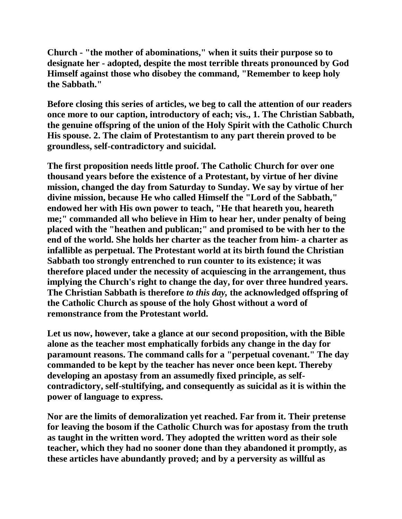**Church - "the mother of abominations," when it suits their purpose so to designate her - adopted, despite the most terrible threats pronounced by God Himself against those who disobey the command, "Remember to keep holy the Sabbath."** 

**Before closing this series of articles, we beg to call the attention of our readers once more to our caption, introductory of each; vis., 1. The Christian Sabbath, the genuine offspring of the union of the Holy Spirit with the Catholic Church His spouse. 2. The claim of Protestantism to any part therein proved to be groundless, self-contradictory and suicidal.** 

**The first proposition needs little proof. The Catholic Church for over one thousand years before the existence of a Protestant, by virtue of her divine mission, changed the day from Saturday to Sunday. We say by virtue of her divine mission, because He who called Himself the "Lord of the Sabbath," endowed her with His own power to teach, "He that heareth you, heareth me;" commanded all who believe in Him to hear her, under penalty of being placed with the "heathen and publican;" and promised to be with her to the end of the world. She holds her charter as the teacher from him- a charter as infallible as perpetual. The Protestant world at its birth found the Christian Sabbath too strongly entrenched to run counter to its existence; it was therefore placed under the necessity of acquiescing in the arrangement, thus implying the Church's right to change the day, for over three hundred years. The Christian Sabbath is therefore** *to this day,* **the acknowledged offspring of the Catholic Church as spouse of the holy Ghost without a word of remonstrance from the Protestant world.** 

**Let us now, however, take a glance at our second proposition, with the Bible alone as the teacher most emphatically forbids any change in the day for paramount reasons. The command calls for a "perpetual covenant." The day commanded to be kept by the teacher has never once been kept. Thereby developing an apostasy from an assumedly fixed principle, as selfcontradictory, self-stultifying, and consequently as suicidal as it is within the power of language to express.** 

**Nor are the limits of demoralization yet reached. Far from it. Their pretense for leaving the bosom if the Catholic Church was for apostasy from the truth as taught in the written word. They adopted the written word as their sole teacher, which they had no sooner done than they abandoned it promptly, as these articles have abundantly proved; and by a perversity as willful as**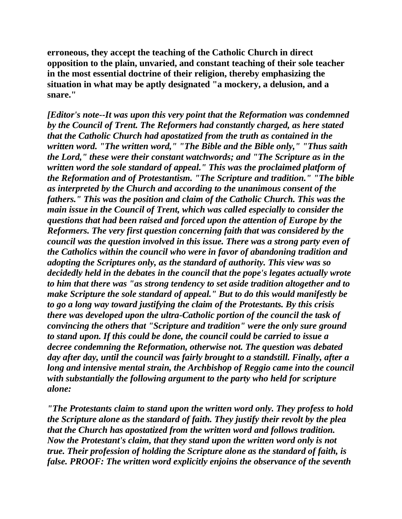**erroneous, they accept the teaching of the Catholic Church in direct opposition to the plain, unvaried, and constant teaching of their sole teacher in the most essential doctrine of their religion, thereby emphasizing the situation in what may be aptly designated "a mockery, a delusion, and a snare."** 

*[Editor's note--It was upon this very point that the Reformation was condemned by the Council of Trent. The Reformers had constantly charged, as here stated that the Catholic Church had apostatized from the truth as contained in the written word. "The written word," "The Bible and the Bible only," "Thus saith the Lord," these were their constant watchwords; and "The Scripture as in the written word the sole standard of appeal." This was the proclaimed platform of the Reformation and of Protestantism. "The Scripture and tradition." "The bible as interpreted by the Church and according to the unanimous consent of the fathers." This was the position and claim of the Catholic Church. This was the main issue in the Council of Trent, which was called especially to consider the questions that had been raised and forced upon the attention of Europe by the Reformers. The very first question concerning faith that was considered by the council was the question involved in this issue. There was a strong party even of the Catholics within the council who were in favor of abandoning tradition and adopting the Scriptures only, as the standard of authority. This view was so decidedly held in the debates in the council that the pope's legates actually wrote to him that there was "as strong tendency to set aside tradition altogether and to make Scripture the sole standard of appeal." But to do this would manifestly be to go a long way toward justifying the claim of the Protestants. By this crisis there was developed upon the ultra-Catholic portion of the council the task of convincing the others that "Scripture and tradition" were the only sure ground to stand upon. If this could be done, the council could be carried to issue a decree condemning the Reformation, otherwise not. The question was debated day after day, until the council was fairly brought to a standstill. Finally, after a long and intensive mental strain, the Archbishop of Reggio came into the council with substantially the following argument to the party who held for scripture alone:*

*"The Protestants claim to stand upon the written word only. They profess to hold the Scripture alone as the standard of faith. They justify their revolt by the plea that the Church has apostatized from the written word and follows tradition. Now the Protestant's claim, that they stand upon the written word only is not true. Their profession of holding the Scripture alone as the standard of faith, is false. PROOF: The written word explicitly enjoins the observance of the seventh*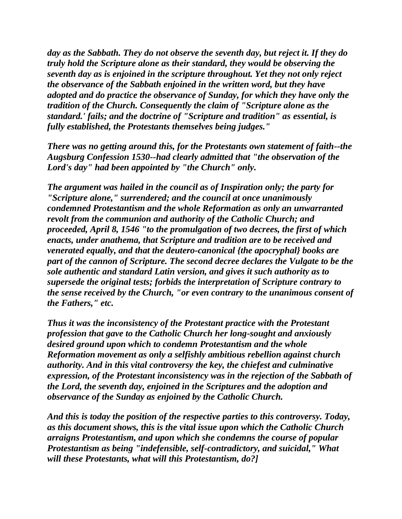*day as the Sabbath. They do not observe the seventh day, but reject it. If they do truly hold the Scripture alone as their standard, they would be observing the seventh day as is enjoined in the scripture throughout. Yet they not only reject the observance of the Sabbath enjoined in the written word, but they have adopted and do practice the observance of Sunday, for which they have only the tradition of the Church. Consequently the claim of "Scripture alone as the standard.' fails; and the doctrine of "Scripture and tradition" as essential, is fully established, the Protestants themselves being judges."*

*There was no getting around this, for the Protestants own statement of faith--the Augsburg Confession 1530--had clearly admitted that "the observation of the Lord's day" had been appointed by "the Church" only.*

*The argument was hailed in the council as of Inspiration only; the party for "Scripture alone," surrendered; and the council at once unanimously condemned Protestantism and the whole Reformation as only an unwarranted revolt from the communion and authority of the Catholic Church; and proceeded, April 8, 1546 "to the promulgation of two decrees, the first of which enacts, under anathema, that Scripture and tradition are to be received and venerated equally, and that the deutero-canonical {the apocryphal} books are part of the cannon of Scripture. The second decree declares the Vulgate to be the sole authentic and standard Latin version, and gives it such authority as to supersede the original tests; forbids the interpretation of Scripture contrary to the sense received by the Church, "or even contrary to the unanimous consent of the Fathers," etc.*

*Thus it was the inconsistency of the Protestant practice with the Protestant profession that gave to the Catholic Church her long-sought and anxiously desired ground upon which to condemn Protestantism and the whole Reformation movement as only a selfishly ambitious rebellion against church authority. And in this vital controversy the key, the chiefest and culminative expression, of the Protestant inconsistency was in the rejection of the Sabbath of the Lord, the seventh day, enjoined in the Scriptures and the adoption and observance of the Sunday as enjoined by the Catholic Church.*

*And this is today the position of the respective parties to this controversy. Today, as this document shows, this is the vital issue upon which the Catholic Church arraigns Protestantism, and upon which she condemns the course of popular Protestantism as being "indefensible, self-contradictory, and suicidal," What will these Protestants, what will this Protestantism, do?]*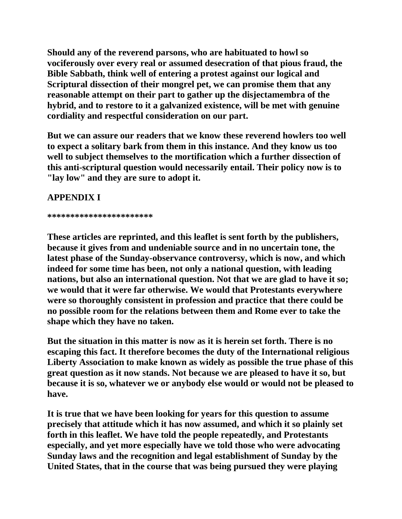**Should any of the reverend parsons, who are habituated to howl so vociferously over every real or assumed desecration of that pious fraud, the Bible Sabbath, think well of entering a protest against our logical and Scriptural dissection of their mongrel pet, we can promise them that any reasonable attempt on their part to gather up the disjectamembra of the hybrid, and to restore to it a galvanized existence, will be met with genuine cordiality and respectful consideration on our part.** 

**But we can assure our readers that we know these reverend howlers too well to expect a solitary bark from them in this instance. And they know us too well to subject themselves to the mortification which a further dissection of this anti-scriptural question would necessarily entail. Their policy now is to "lay low" and they are sure to adopt it.** 

### **APPENDIX I**

**\*\*\*\*\*\*\*\*\*\*\*\*\*\*\*\*\*\*\*\*\*\*\***

**These articles are reprinted, and this leaflet is sent forth by the publishers, because it gives from and undeniable source and in no uncertain tone, the latest phase of the Sunday-observance controversy, which is now, and which indeed for some time has been, not only a national question, with leading nations, but also an international question. Not that we are glad to have it so; we would that it were far otherwise. We would that Protestants everywhere were so thoroughly consistent in profession and practice that there could be no possible room for the relations between them and Rome ever to take the shape which they have no taken.** 

**But the situation in this matter is now as it is herein set forth. There is no escaping this fact. It therefore becomes the duty of the International religious Liberty Association to make known as widely as possible the true phase of this great question as it now stands. Not because we are pleased to have it so, but because it is so, whatever we or anybody else would or would not be pleased to have.** 

**It is true that we have been looking for years for this question to assume precisely that attitude which it has now assumed, and which it so plainly set forth in this leaflet. We have told the people repeatedly, and Protestants especially, and yet more especially have we told those who were advocating Sunday laws and the recognition and legal establishment of Sunday by the United States, that in the course that was being pursued they were playing**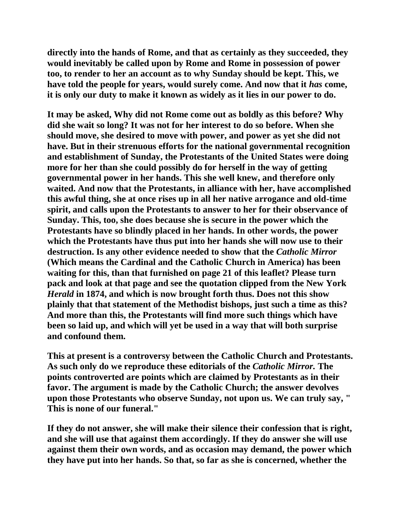**directly into the hands of Rome, and that as certainly as they succeeded, they would inevitably be called upon by Rome and Rome in possession of power too, to render to her an account as to why Sunday should be kept. This, we have told the people for years, would surely come. And now that it** *has* **come, it is only our duty to make it known as widely as it lies in our power to do.** 

**It may be asked, Why did not Rome come out as boldly as this before? Why did she wait so long? It was not for her interest to do so before. When she should move, she desired to move with power, and power as yet she did not have. But in their strenuous efforts for the national governmental recognition and establishment of Sunday, the Protestants of the United States were doing more for her than she could possibly do for herself in the way of getting governmental power in her hands. This she well knew, and therefore only waited. And now that the Protestants, in alliance with her, have accomplished this awful thing, she at once rises up in all her native arrogance and old-time spirit, and calls upon the Protestants to answer to her for their observance of Sunday. This, too, she does because she is secure in the power which the Protestants have so blindly placed in her hands. In other words, the power which the Protestants have thus put into her hands she will now use to their destruction. Is any other evidence needed to show that the** *Catholic Mirror* **(Which means the Cardinal and the Catholic Church in America) has been waiting for this, than that furnished on page 21 of this leaflet? Please turn pack and look at that page and see the quotation clipped from the New York**  *Herald* **in 1874, and which is now brought forth thus. Does not this show plainly that that statement of the Methodist bishops, just such a time as this? And more than this, the Protestants will find more such things which have been so laid up, and which will yet be used in a way that will both surprise and confound them.** 

**This at present is a controversy between the Catholic Church and Protestants. As such only do we reproduce these editorials of the** *Catholic Mirror.* **The points controverted are points which are claimed by Protestants as in their favor. The argument is made by the Catholic Church; the answer devolves upon those Protestants who observe Sunday, not upon us. We can truly say, " This is none of our funeral."** 

**If they do not answer, she will make their silence their confession that is right, and she will use that against them accordingly. If they do answer she will use against them their own words, and as occasion may demand, the power which they have put into her hands. So that, so far as she is concerned, whether the**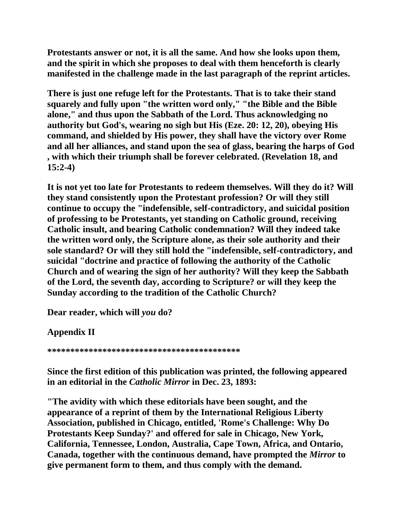**Protestants answer or not, it is all the same. And how she looks upon them, and the spirit in which she proposes to deal with them henceforth is clearly manifested in the challenge made in the last paragraph of the reprint articles.** 

**There is just one refuge left for the Protestants. That is to take their stand squarely and fully upon "the written word only," "the Bible and the Bible alone," and thus upon the Sabbath of the Lord. Thus acknowledging no authority but God's, wearing no sigh but His (Eze. 20: 12, 20), obeying His command, and shielded by His power, they shall have the victory over Rome and all her alliances, and stand upon the sea of glass, bearing the harps of God , with which their triumph shall be forever celebrated. (Revelation 18, and 15:2-4)** 

**It is not yet too late for Protestants to redeem themselves. Will they do it? Will they stand consistently upon the Protestant profession? Or will they still continue to occupy the "indefensible, self-contradictory, and suicidal position of professing to be Protestants, yet standing on Catholic ground, receiving Catholic insult, and bearing Catholic condemnation? Will they indeed take the written word only, the Scripture alone, as their sole authority and their sole standard? Or will they still hold the "indefensible, self-contradictory, and suicidal "doctrine and practice of following the authority of the Catholic Church and of wearing the sign of her authority? Will they keep the Sabbath of the Lord, the seventh day, according to Scripture? or will they keep the Sunday according to the tradition of the Catholic Church?** 

**Dear reader, which will** *you* **do?** 

**Appendix II**

**\*\*\*\*\*\*\*\*\*\*\*\*\*\*\*\*\*\*\*\*\*\*\*\*\*\*\*\*\*\*\*\*\*\*\*\*\*\*\*\*\*\*** 

**Since the first edition of this publication was printed, the following appeared in an editorial in the** *Catholic Mirror* **in Dec. 23, 1893:** 

**"The avidity with which these editorials have been sought, and the appearance of a reprint of them by the International Religious Liberty Association, published in Chicago, entitled, 'Rome's Challenge: Why Do Protestants Keep Sunday?' and offered for sale in Chicago, New York, California, Tennessee, London, Australia, Cape Town, Africa, and Ontario, Canada, together with the continuous demand, have prompted the** *Mirror* **to give permanent form to them, and thus comply with the demand.**